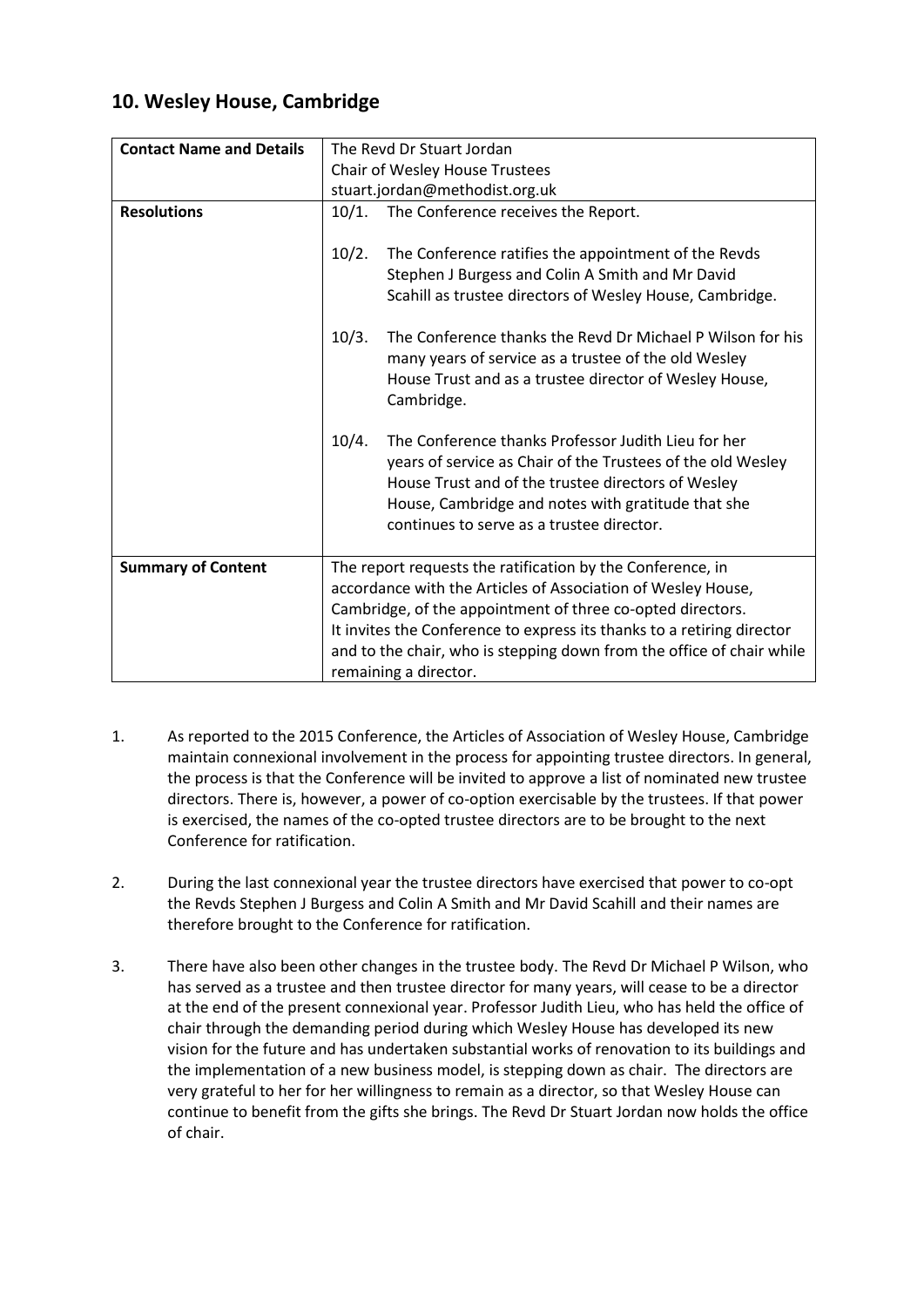## **10. Wesley House, Cambridge**

| <b>Contact Name and Details</b> | The Revd Dr Stuart Jordan                                                                                                                                                                                                                                                                                                                                            |
|---------------------------------|----------------------------------------------------------------------------------------------------------------------------------------------------------------------------------------------------------------------------------------------------------------------------------------------------------------------------------------------------------------------|
|                                 | Chair of Wesley House Trustees                                                                                                                                                                                                                                                                                                                                       |
|                                 | stuart.jordan@methodist.org.uk                                                                                                                                                                                                                                                                                                                                       |
| <b>Resolutions</b>              | 10/1. The Conference receives the Report.                                                                                                                                                                                                                                                                                                                            |
|                                 | 10/2.<br>The Conference ratifies the appointment of the Revds<br>Stephen J Burgess and Colin A Smith and Mr David<br>Scahill as trustee directors of Wesley House, Cambridge.                                                                                                                                                                                        |
|                                 | The Conference thanks the Revd Dr Michael P Wilson for his<br>10/3.<br>many years of service as a trustee of the old Wesley<br>House Trust and as a trustee director of Wesley House,<br>Cambridge.                                                                                                                                                                  |
|                                 | 10/4.<br>The Conference thanks Professor Judith Lieu for her<br>years of service as Chair of the Trustees of the old Wesley<br>House Trust and of the trustee directors of Wesley<br>House, Cambridge and notes with gratitude that she<br>continues to serve as a trustee director.                                                                                 |
| <b>Summary of Content</b>       | The report requests the ratification by the Conference, in<br>accordance with the Articles of Association of Wesley House,<br>Cambridge, of the appointment of three co-opted directors.<br>It invites the Conference to express its thanks to a retiring director<br>and to the chair, who is stepping down from the office of chair while<br>remaining a director. |

- 1. As reported to the 2015 Conference, the Articles of Association of Wesley House, Cambridge maintain connexional involvement in the process for appointing trustee directors. In general, the process is that the Conference will be invited to approve a list of nominated new trustee directors. There is, however, a power of co-option exercisable by the trustees. If that power is exercised, the names of the co-opted trustee directors are to be brought to the next Conference for ratification.
- 2. During the last connexional year the trustee directors have exercised that power to co-opt the Revds Stephen J Burgess and Colin A Smith and Mr David Scahill and their names are therefore brought to the Conference for ratification.
- 3. There have also been other changes in the trustee body. The Revd Dr Michael P Wilson, who has served as a trustee and then trustee director for many years, will cease to be a director at the end of the present connexional year. Professor Judith Lieu, who has held the office of chair through the demanding period during which Wesley House has developed its new vision for the future and has undertaken substantial works of renovation to its buildings and the implementation of a new business model, is stepping down as chair. The directors are very grateful to her for her willingness to remain as a director, so that Wesley House can continue to benefit from the gifts she brings. The Revd Dr Stuart Jordan now holds the office of chair.